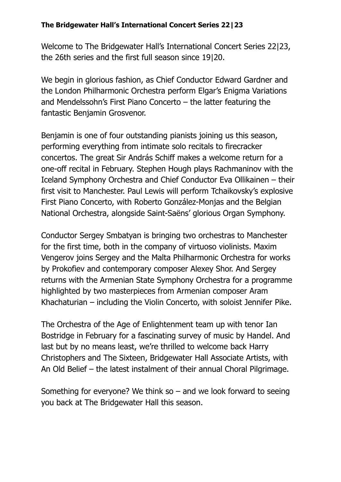Welcome to The Bridgewater Hall's International Concert Series 22|23, the 26th series and the first full season since 19|20.

We begin in glorious fashion, as Chief Conductor Edward Gardner and the London Philharmonic Orchestra perform Elgar's Enigma Variations and Mendelssohn's First Piano Concerto – the latter featuring the fantastic Benjamin Grosvenor.

Benjamin is one of four outstanding pianists joining us this season, performing everything from intimate solo recitals to firecracker concertos. The great Sir András Schiff makes a welcome return for a one-off recital in February. Stephen Hough plays Rachmaninov with the Iceland Symphony Orchestra and Chief Conductor Eva Ollikainen – their first visit to Manchester. Paul Lewis will perform Tchaikovsky's explosive First Piano Concerto, with Roberto González-Monjas and the Belgian National Orchestra, alongside Saint-Saëns' glorious Organ Symphony.

Conductor Sergey Smbatyan is bringing two orchestras to Manchester for the first time, both in the company of virtuoso violinists. Maxim Vengerov joins Sergey and the Malta Philharmonic Orchestra for works by Prokofiev and contemporary composer Alexey Shor. And Sergey returns with the Armenian State Symphony Orchestra for a programme highlighted by two masterpieces from Armenian composer Aram Khachaturian – including the Violin Concerto, with soloist Jennifer Pike.

The Orchestra of the Age of Enlightenment team up with tenor Ian Bostridge in February for a fascinating survey of music by Handel. And last but by no means least, we're thrilled to welcome back Harry Christophers and The Sixteen, Bridgewater Hall Associate Artists, with An Old Belief – the latest instalment of their annual Choral Pilgrimage.

Something for everyone? We think so  $-$  and we look forward to seeing you back at The Bridgewater Hall this season.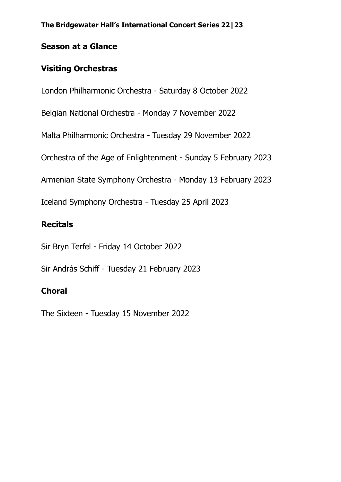### **Season at a Glance**

## **Visiting Orchestras**

London Philharmonic Orchestra - Saturday 8 October 2022

Belgian National Orchestra - Monday 7 November 2022

Malta Philharmonic Orchestra - Tuesday 29 November 2022

Orchestra of the Age of Enlightenment - Sunday 5 February 2023

Armenian State Symphony Orchestra - Monday 13 February 2023

Iceland Symphony Orchestra - Tuesday 25 April 2023

# **Recitals**

Sir Bryn Terfel - Friday 14 October 2022

Sir András Schiff - Tuesday 21 February 2023

# **Choral**

The Sixteen - Tuesday 15 November 2022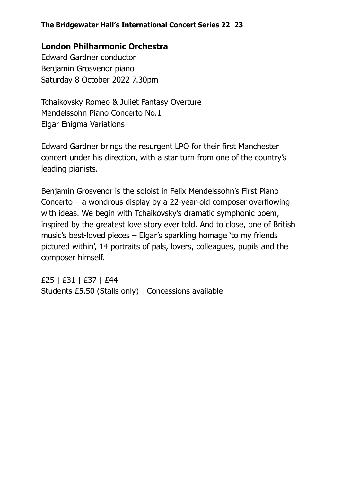### **London Philharmonic Orchestra**

Edward Gardner conductor Benjamin Grosvenor piano Saturday 8 October 2022 7.30pm

Tchaikovsky Romeo & Juliet Fantasy Overture Mendelssohn Piano Concerto No.1 Elgar Enigma Variations

Edward Gardner brings the resurgent LPO for their first Manchester concert under his direction, with a star turn from one of the country's leading pianists.

Benjamin Grosvenor is the soloist in Felix Mendelssohn's First Piano Concerto – a wondrous display by a 22-year-old composer overflowing with ideas. We begin with Tchaikovsky's dramatic symphonic poem, inspired by the greatest love story ever told. And to close, one of British music's best-loved pieces – Elgar's sparkling homage 'to my friends pictured within', 14 portraits of pals, lovers, colleagues, pupils and the composer himself.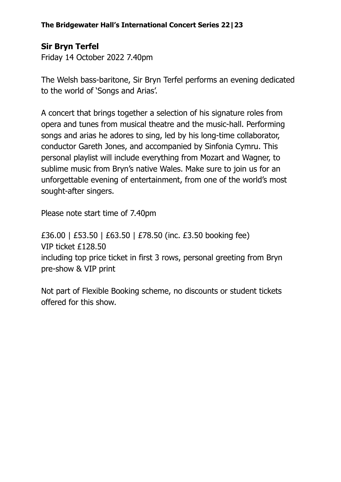# **Sir Bryn Terfel**

Friday 14 October 2022 7.40pm

The Welsh bass-baritone, Sir Bryn Terfel performs an evening dedicated to the world of 'Songs and Arias'.

A concert that brings together a selection of his signature roles from opera and tunes from musical theatre and the music-hall. Performing songs and arias he adores to sing, led by his long-time collaborator, conductor Gareth Jones, and accompanied by Sinfonia Cymru. This personal playlist will include everything from Mozart and Wagner, to sublime music from Bryn's native Wales. Make sure to join us for an unforgettable evening of entertainment, from one of the world's most sought-after singers.

Please note start time of 7.40pm

£36.00 | £53.50 | £63.50 | £78.50 (inc. £3.50 booking fee) VIP ticket £128.50 including top price ticket in first 3 rows, personal greeting from Bryn pre-show & VIP print

Not part of Flexible Booking scheme, no discounts or student tickets offered for this show.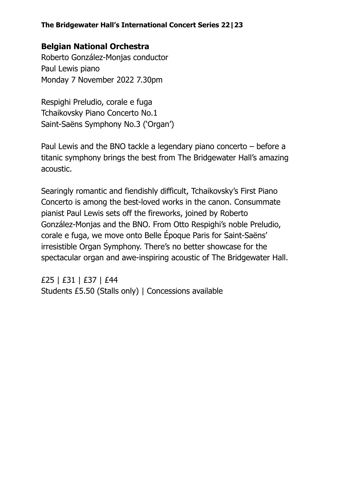### **Belgian National Orchestra**

Roberto González-Monjas conductor Paul Lewis piano Monday 7 November 2022 7.30pm

Respighi Preludio, corale e fuga Tchaikovsky Piano Concerto No.1 Saint-Saëns Symphony No.3 ('Organ')

Paul Lewis and the BNO tackle a legendary piano concerto – before a titanic symphony brings the best from The Bridgewater Hall's amazing acoustic.

Searingly romantic and fiendishly difficult, Tchaikovsky's First Piano Concerto is among the best-loved works in the canon. Consummate pianist Paul Lewis sets off the fireworks, joined by Roberto González-Monjas and the BNO. From Otto Respighi's noble Preludio, corale e fuga, we move onto Belle Époque Paris for Saint-Saëns' irresistible Organ Symphony. There's no better showcase for the spectacular organ and awe-inspiring acoustic of The Bridgewater Hall.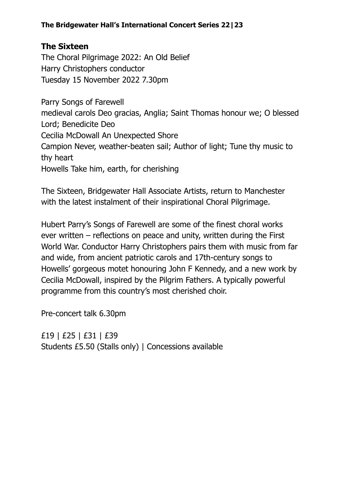## **The Sixteen**

The Choral Pilgrimage 2022: An Old Belief Harry Christophers conductor Tuesday 15 November 2022 7.30pm

Parry Songs of Farewell medieval carols Deo gracias, Anglia; Saint Thomas honour we; O blessed Lord; Benedicite Deo Cecilia McDowall An Unexpected Shore Campion Never, weather-beaten sail; Author of light; Tune thy music to thy heart Howells Take him, earth, for cherishing

The Sixteen, Bridgewater Hall Associate Artists, return to Manchester with the latest instalment of their inspirational Choral Pilgrimage.

Hubert Parry's Songs of Farewell are some of the finest choral works ever written – reflections on peace and unity, written during the First World War. Conductor Harry Christophers pairs them with music from far and wide, from ancient patriotic carols and 17th-century songs to Howells' gorgeous motet honouring John F Kennedy, and a new work by Cecilia McDowall, inspired by the Pilgrim Fathers. A typically powerful programme from this country's most cherished choir.

Pre-concert talk 6.30pm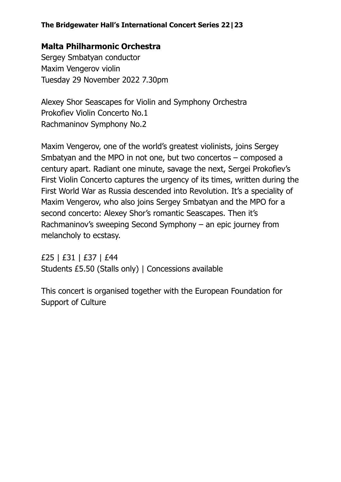### **Malta Philharmonic Orchestra**

Sergey Smbatyan conductor Maxim Vengerov violin Tuesday 29 November 2022 7.30pm

Alexey Shor Seascapes for Violin and Symphony Orchestra Prokofiev Violin Concerto No.1 Rachmaninov Symphony No.2

Maxim Vengerov, one of the world's greatest violinists, joins Sergey Smbatyan and the MPO in not one, but two concertos – composed a century apart. Radiant one minute, savage the next, Sergei Prokofiev's First Violin Concerto captures the urgency of its times, written during the First World War as Russia descended into Revolution. It's a speciality of Maxim Vengerov, who also joins Sergey Smbatyan and the MPO for a second concerto: Alexey Shor's romantic Seascapes. Then it's Rachmaninov's sweeping Second Symphony – an epic journey from melancholy to ecstasy.

£25 | £31 | £37 | £44 Students £5.50 (Stalls only) | Concessions available

This concert is organised together with the European Foundation for Support of Culture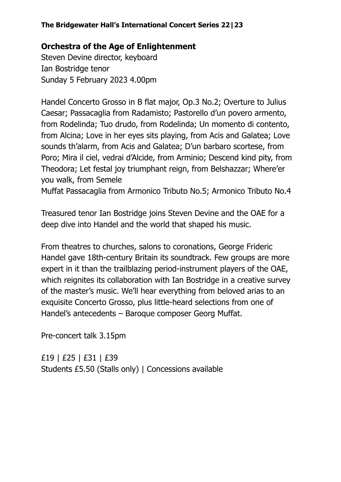## **Orchestra of the Age of Enlightenment**

Steven Devine director, keyboard Ian Bostridge tenor Sunday 5 February 2023 4.00pm

Handel Concerto Grosso in B flat major, Op.3 No.2; Overture to Julius Caesar; Passacaglia from Radamisto; Pastorello d'un povero armento, from Rodelinda; Tuo drudo, from Rodelinda; Un momento di contento, from Alcina; Love in her eyes sits playing, from Acis and Galatea; Love sounds th'alarm, from Acis and Galatea; D'un barbaro scortese, from Poro; Mira il ciel, vedrai d'Alcide, from Arminio; Descend kind pity, from Theodora; Let festal joy triumphant reign, from Belshazzar; Where'er you walk, from Semele

Muffat Passacaglia from Armonico Tributo No.5; Armonico Tributo No.4

Treasured tenor Ian Bostridge joins Steven Devine and the OAE for a deep dive into Handel and the world that shaped his music.

From theatres to churches, salons to coronations, George Frideric Handel gave 18th-century Britain its soundtrack. Few groups are more expert in it than the trailblazing period-instrument players of the OAE, which reignites its collaboration with Ian Bostridge in a creative survey of the master's music. We'll hear everything from beloved arias to an exquisite Concerto Grosso, plus little-heard selections from one of Handel's antecedents – Baroque composer Georg Muffat.

Pre-concert talk 3.15pm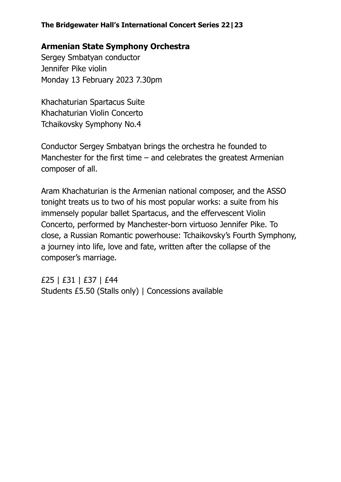### **Armenian State Symphony Orchestra**

Sergey Smbatyan conductor Jennifer Pike violin Monday 13 February 2023 7.30pm

Khachaturian Spartacus Suite Khachaturian Violin Concerto Tchaikovsky Symphony No.4

Conductor Sergey Smbatyan brings the orchestra he founded to Manchester for the first time  $-$  and celebrates the greatest Armenian composer of all.

Aram Khachaturian is the Armenian national composer, and the ASSO tonight treats us to two of his most popular works: a suite from his immensely popular ballet Spartacus, and the effervescent Violin Concerto, performed by Manchester-born virtuoso Jennifer Pike. To close, a Russian Romantic powerhouse: Tchaikovsky's Fourth Symphony, a journey into life, love and fate, written after the collapse of the composer's marriage.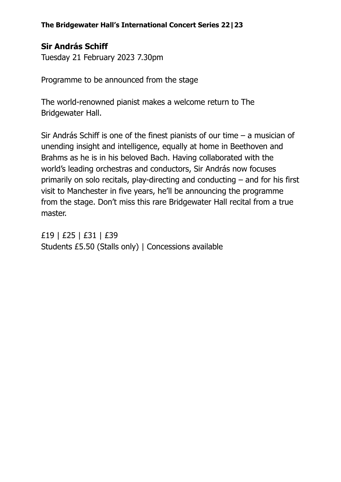# **Sir András Schiff**

Tuesday 21 February 2023 7.30pm

Programme to be announced from the stage

The world-renowned pianist makes a welcome return to The Bridgewater Hall.

Sir András Schiff is one of the finest pianists of our time – a musician of unending insight and intelligence, equally at home in Beethoven and Brahms as he is in his beloved Bach. Having collaborated with the world's leading orchestras and conductors, Sir András now focuses primarily on solo recitals, play-directing and conducting – and for his first visit to Manchester in five years, he'll be announcing the programme from the stage. Don't miss this rare Bridgewater Hall recital from a true master.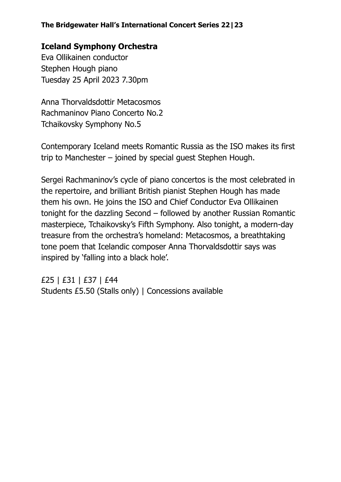## **Iceland Symphony Orchestra**

Eva Ollikainen conductor Stephen Hough piano Tuesday 25 April 2023 7.30pm

Anna Thorvaldsdottir Metacosmos Rachmaninov Piano Concerto No.2 Tchaikovsky Symphony No.5

Contemporary Iceland meets Romantic Russia as the ISO makes its first trip to Manchester – joined by special guest Stephen Hough.

Sergei Rachmaninov's cycle of piano concertos is the most celebrated in the repertoire, and brilliant British pianist Stephen Hough has made them his own. He joins the ISO and Chief Conductor Eva Ollikainen tonight for the dazzling Second – followed by another Russian Romantic masterpiece, Tchaikovsky's Fifth Symphony. Also tonight, a modern-day treasure from the orchestra's homeland: Metacosmos, a breathtaking tone poem that Icelandic composer Anna Thorvaldsdottir says was inspired by 'falling into a black hole'.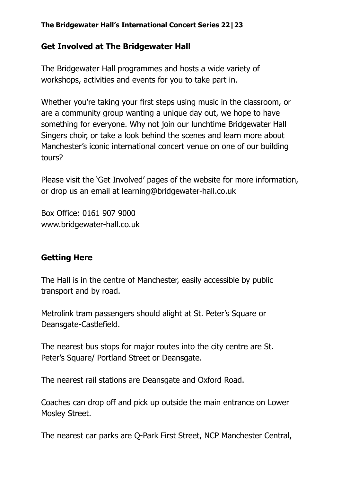#### **Get Involved at The Bridgewater Hall**

The Bridgewater Hall programmes and hosts a wide variety of workshops, activities and events for you to take part in.

Whether you're taking your first steps using music in the classroom, or are a community group wanting a unique day out, we hope to have something for everyone. Why not join our lunchtime Bridgewater Hall Singers choir, or take a look behind the scenes and learn more about Manchester's iconic international concert venue on one of our building tours?

Please visit the 'Get Involved' pages of the website for more information, or drop us an email at learning@bridgewater-hall.co.uk

Box Office: 0161 907 9000 www.bridgewater-hall.co.uk

### **Getting Here**

The Hall is in the centre of Manchester, easily accessible by public transport and by road.

Metrolink tram passengers should alight at St. Peter's Square or Deansgate-Castlefield.

The nearest bus stops for major routes into the city centre are St. Peter's Square/ Portland Street or Deansgate.

The nearest rail stations are Deansgate and Oxford Road.

Coaches can drop off and pick up outside the main entrance on Lower Mosley Street.

The nearest car parks are Q-Park First Street, NCP Manchester Central,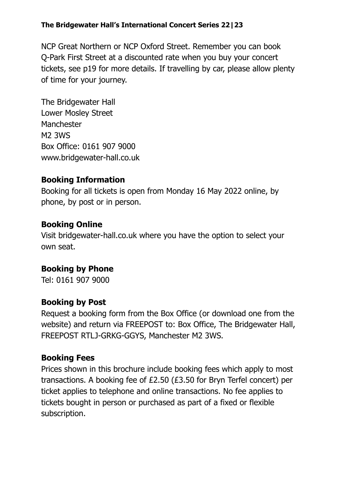NCP Great Northern or NCP Oxford Street. Remember you can book Q-Park First Street at a discounted rate when you buy your concert tickets, see p19 for more details. If travelling by car, please allow plenty of time for your journey.

The Bridgewater Hall Lower Mosley Street **Manchester** M2 3WS Box Office: 0161 907 9000 www.bridgewater-hall.co.uk

### **Booking Information**

Booking for all tickets is open from Monday 16 May 2022 online, by phone, by post or in person.

### **Booking Online**

Visit bridgewater-hall.co.uk where you have the option to select your own seat.

## **Booking by Phone**

Tel: 0161 907 9000

### **Booking by Post**

Request a booking form from the Box Office (or download one from the website) and return via FREEPOST to: Box Office, The Bridgewater Hall, FREEPOST RTLJ-GRKG-GGYS, Manchester M2 3WS.

### **Booking Fees**

Prices shown in this brochure include booking fees which apply to most transactions. A booking fee of £2.50 (£3.50 for Bryn Terfel concert) per ticket applies to telephone and online transactions. No fee applies to tickets bought in person or purchased as part of a fixed or flexible subscription.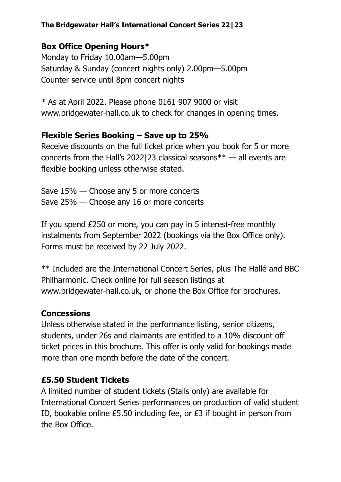## **Box Office Opening Hours\***

Monday to Friday 10.00am—5.00pm Saturday & Sunday (concert nights only) 2.00pm—5.00pm Counter service until 8pm concert nights

 $*$  As at April 2022. Please phone 0161 907 9000 or visit www.bridgewater-hall.co.uk to check for changes in opening times.

### **Flexible Series Booking – Save up to 25%**

Receive discounts on the full ticket price when you book for 5 or more concerts from the Hall's 2022|23 classical seasons\*\* — all events are flexible booking unless otherwise stated.

Save 15% — Choose any 5 or more concerts Save 25% — Choose any 16 or more concerts

If you spend £250 or more, you can pay in 5 interest-free monthly instalments from September 2022 (bookings via the Box Office only). Forms must be received by 22 July 2022.

\*\* Included are the International Concert Series, plus The Hallé and BBC Philharmonic. Check online for full season listings at www.bridgewater-hall.co.uk, or phone the Box Office for brochures.

### **Concessions**

Unless otherwise stated in the performance listing, senior citizens, students, under 26s and claimants are entitled to a 10% discount off ticket prices in this brochure. This offer is only valid for bookings made more than one month before the date of the concert.

### **£5.50 Student Tickets**

A limited number of student tickets (Stalls only) are available for International Concert Series performances on production of valid student ID, bookable online £5.50 including fee, or £3 if bought in person from the Box Office.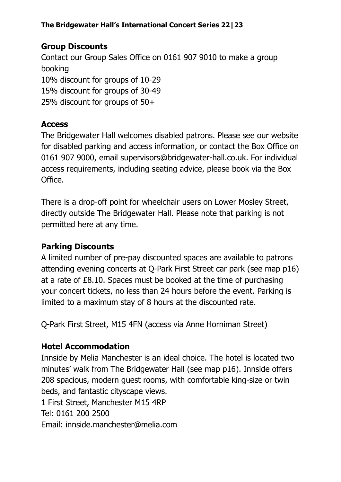# **Group Discounts**

Contact our Group Sales Office on 0161 907 9010 to make a group booking 10% discount for groups of 10-29 15% discount for groups of 30-49 25% discount for groups of 50+

## **Access**

The Bridgewater Hall welcomes disabled patrons. Please see our website for disabled parking and access information, or contact the Box Office on 0161 907 9000, email supervisors@bridgewater-hall.co.uk. For individual access requirements, including seating advice, please book via the Box Office.

There is a drop-off point for wheelchair users on Lower Mosley Street, directly outside The Bridgewater Hall. Please note that parking is not permitted here at any time.

# **Parking Discounts**

A limited number of pre-pay discounted spaces are available to patrons attending evening concerts at Q-Park First Street car park (see map p16) at a rate of £8.10. Spaces must be booked at the time of purchasing your concert tickets, no less than 24 hours before the event. Parking is limited to a maximum stay of 8 hours at the discounted rate.

Q-Park First Street, M15 4FN (access via Anne Horniman Street)

# **Hotel Accommodation**

Innside by Melia Manchester is an ideal choice. The hotel is located two minutes' walk from The Bridgewater Hall (see map p16). Innside offers 208 spacious, modern guest rooms, with comfortable king-size or twin beds, and fantastic cityscape views. 1 First Street, Manchester M15 4RP Tel: 0161 200 2500

Email: innside.manchester@melia.com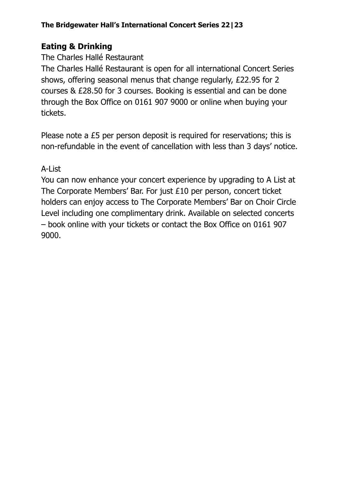# **Eating & Drinking**

## The Charles Hallé Restaurant

The Charles Hallé Restaurant is open for all international Concert Series shows, offering seasonal menus that change regularly, £22.95 for 2 courses & £28.50 for 3 courses. Booking is essential and can be done through the Box Office on 0161 907 9000 or online when buying your tickets.

Please note a £5 per person deposit is required for reservations; this is non-refundable in the event of cancellation with less than 3 days' notice.

## A-List

You can now enhance your concert experience by upgrading to A List at The Corporate Members' Bar. For just £10 per person, concert ticket holders can enjoy access to The Corporate Members' Bar on Choir Circle Level including one complimentary drink. Available on selected concerts – book online with your tickets or contact the Box Office on 0161 907 9000.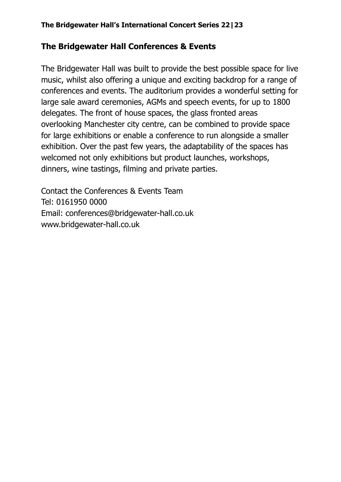## **The Bridgewater Hall Conferences & Events**

The Bridgewater Hall was built to provide the best possible space for live music, whilst also offering a unique and exciting backdrop for a range of conferences and events. The auditorium provides a wonderful setting for large sale award ceremonies, AGMs and speech events, for up to 1800 delegates. The front of house spaces, the glass fronted areas overlooking Manchester city centre, can be combined to provide space for large exhibitions or enable a conference to run alongside a smaller exhibition. Over the past few years, the adaptability of the spaces has welcomed not only exhibitions but product launches, workshops, dinners, wine tastings, filming and private parties.

Contact the Conferences & Events Team Tel: 0161950 0000 Email: conferences@bridgewater-hall.co.uk www.bridgewater-hall.co.uk